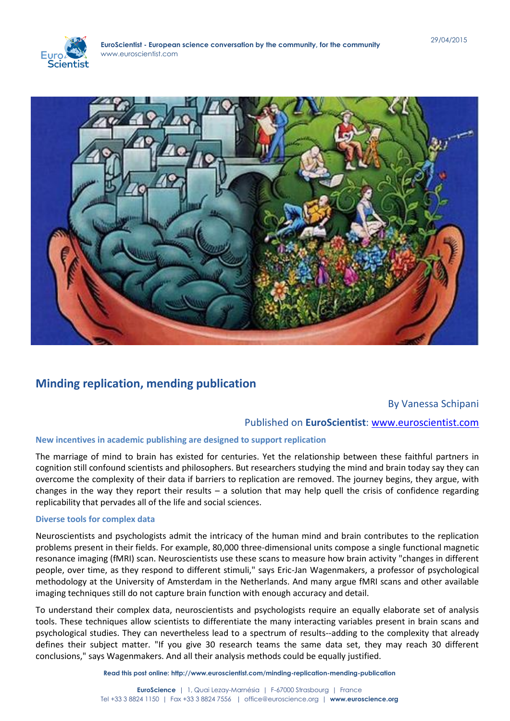



# **Minding replication, mending publication**

# By Vanessa Schipani

# Published on **EuroScientist**: [www.euroscientist.com](http://www.euroscientist.com/)

## **New incentives in academic publishing are designed to support replication**

The marriage of mind to brain has existed for centuries. Yet the relationship between these faithful partners in cognition still confound scientists and philosophers. But researchers studying the mind and brain today say they can overcome the complexity of their data if barriers to replication are removed. The journey begins, they argue, with changes in the way they report their results – a solution that may help quell the crisis of confidence regarding replicability that pervades all of the life and social sciences.

#### **Diverse tools for complex data**

Neuroscientists and psychologists admit the intricacy of the human mind and brain contributes to the replication problems present in their fields. For example, 80,000 three-dimensional units compose a single functional magnetic resonance imaging (fMRI) scan. Neuroscientists use these scans to measure how brain activity "changes in different people, over time, as they respond to different stimuli," says Eric-Jan Wagenmakers, a professor of psychological methodology at the University of Amsterdam in the Netherlands. And many argue fMRI scans and other available imaging techniques still do not capture brain function with enough accuracy and detail.

To understand their complex data, neuroscientists and psychologists require an equally elaborate set of analysis tools. These techniques allow scientists to differentiate the many interacting variables present in brain scans and psychological studies. They can nevertheless lead to a spectrum of results--adding to the complexity that already defines their subject matter. "If you give 30 research teams the same data set, they may reach 30 different conclusions," says Wagenmakers. And all their analysis methods could be equally justified.

**Read this post online: http://www.euroscientist.com/minding-replication-mending-publication**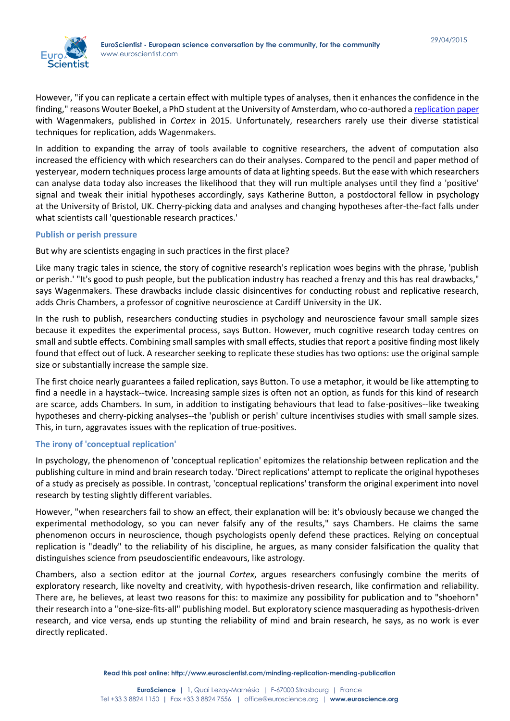

However, "if you can replicate a certain effect with multiple types of analyses, then it enhances the confidence in the finding," reasons Wouter Boekel, a PhD student at the University of Amsterdam, who co-authored [a replication paper](http://www.sciencedirect.com/science/article/pii/S0010945215000155) with Wagenmakers, published in *Cortex* in 2015. Unfortunately, researchers rarely use their diverse statistical techniques for replication, adds Wagenmakers.

In addition to expanding the array of tools available to cognitive researchers, the advent of computation also increased the efficiency with which researchers can do their analyses. Compared to the pencil and paper method of yesteryear, modern techniques process large amounts of data at lighting speeds. But the ease with which researchers can analyse data today also increases the likelihood that they will run multiple analyses until they find a 'positive' signal and tweak their initial hypotheses accordingly, says Katherine Button, a postdoctoral fellow in psychology at the University of Bristol, UK. Cherry-picking data and analyses and changing hypotheses after-the-fact falls under what scientists call 'questionable research practices.'

### **Publish or perish pressure**

But why are scientists engaging in such practices in the first place?

Like many tragic tales in science, the story of cognitive research's replication woes begins with the phrase, 'publish or perish.' "It's good to push people, but the publication industry has reached a frenzy and this has real drawbacks," says Wagenmakers. These drawbacks include classic disincentives for conducting robust and replicative research, adds Chris Chambers, a professor of cognitive neuroscience at Cardiff University in the UK.

In the rush to publish, researchers conducting studies in psychology and neuroscience favour small sample sizes because it expedites the experimental process, says Button. However, much cognitive research today centres on small and subtle effects. Combining small samples with small effects, studies that report a positive finding most likely found that effect out of luck. A researcher seeking to replicate these studies has two options: use the original sample size or substantially increase the sample size.

The first choice nearly guarantees a failed replication, says Button. To use a metaphor, it would be like attempting to find a needle in a haystack--twice. Increasing sample sizes is often not an option, as funds for this kind of research are scarce, adds Chambers. In sum, in addition to instigating behaviours that lead to false-positives--like tweaking hypotheses and cherry-picking analyses--the 'publish or perish' culture incentivises studies with small sample sizes. This, in turn, aggravates issues with the replication of true-positives.

#### **The irony of 'conceptual replication'**

In psychology, the phenomenon of 'conceptual replication' epitomizes the relationship between replication and the publishing culture in mind and brain research today. 'Direct replications' attempt to replicate the original hypotheses of a study as precisely as possible. In contrast, 'conceptual replications' transform the original experiment into novel research by testing slightly different variables.

However, "when researchers fail to show an effect, their explanation will be: it's obviously because we changed the experimental methodology, so you can never falsify any of the results," says Chambers. He claims the same phenomenon occurs in neuroscience, though psychologists openly defend these practices. Relying on conceptual replication is "deadly" to the reliability of his discipline, he argues, as many consider falsification the quality that distinguishes science from pseudoscientific endeavours, like astrology.

Chambers, also a section editor at the journal *Cortex*, argues researchers confusingly combine the merits of exploratory research, like novelty and creativity, with hypothesis-driven research, like confirmation and reliability. There are, he believes, at least two reasons for this: to maximize any possibility for publication and to "shoehorn" their research into a "one-size-fits-all" publishing model. But exploratory science masquerading as hypothesis-driven research, and vice versa, ends up stunting the reliability of mind and brain research, he says, as no work is ever directly replicated.